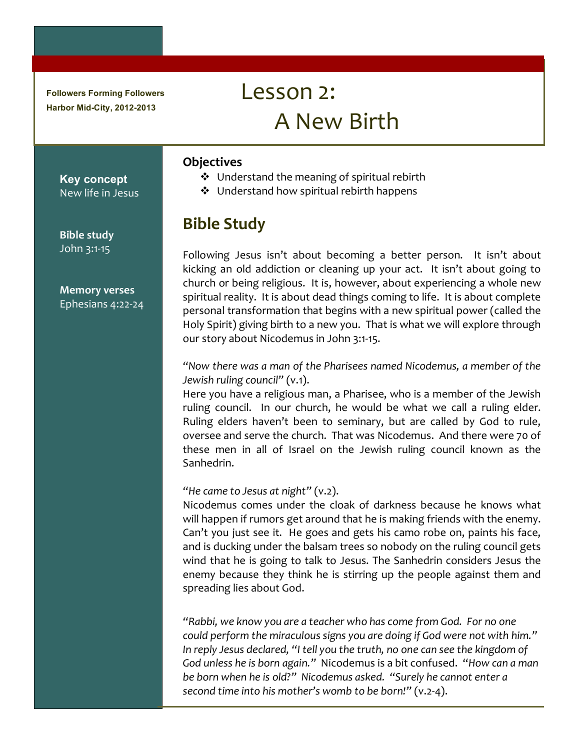**Followers Forming Followers Harbor Mid-City, 2012-2013**

# $Lesson 2:$ A New Birth

#### **Objectives**

- $\cdot$  Understand the meaning of spiritual rebirth
- $\div$  Understand how spiritual rebirth happens

## **Bible!Study**

Following Jesus isn't about becoming a better person. It isn't about kicking an old addiction or cleaning up your act. It isn't about going to church or being religious. It is, however, about experiencing a whole new spiritual reality. It is about dead things coming to life. It is about complete personal transformation that begins with a new spiritual power (called the Holy Spirit) giving birth to a new you. That is what we will explore through our story about Nicodemus in John 3:1-15.

*"Now%there%was%a%man%of%the%Pharisees%named%Nicodemus,%a%member%of%the% Jewish ruling council" (v.1).* 

Here you have a religious man, a Pharisee, who is a member of the Jewish ruling council. In our church, he would be what we call a ruling elder. Ruling elders haven't been to seminary, but are called by God to rule, oversee and serve the church. That was Nicodemus. And there were 70 of these men in all of Israel on the Jewish ruling council known as the Sanhedrin.

#### *"He came to Jesus at night"* (v.2).

Nicodemus comes under the cloak of darkness because he knows what will happen if rumors get around that he is making friends with the enemy. Can't you just see it. He goes and gets his camo robe on, paints his face, and is ducking under the balsam trees so nobody on the ruling council gets wind that he is going to talk to Jesus. The Sanhedrin considers Jesus the enemy because they think he is stirring up the people against them and spreading lies about God.

*"Rabbi,%we%know%you%are%a%teacher%who%has%come%from%God.%%For%no%one% could perform the miraculous signs you are doing if God were not with him."* In reply Jesus declared, "I tell you the truth, no one can see the kingdom of God unless he is born again." Nicodemus is a bit confused. "How can a man be born when he is old?" Nicodemus asked. "Surely he cannot enter a *second time into his mother's womb to be born!"* (v.2-4).

**Bible study** John 3:1-15

**Key concept** New life in Jesus

**Memory!verses** Ephesians  $4:22-24$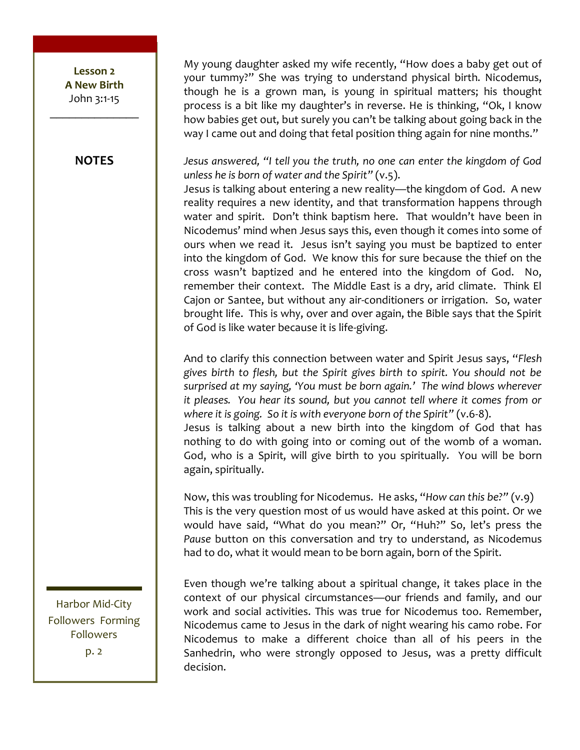Lesson<sub>2</sub> **A New Birth** John 3:1-15

**NOTES** 

My young daughter asked my wife recently, "How does a baby get out of your tummy?" She was trying to understand physical birth. Nicodemus, though he is a grown man, is young in spiritual matters; his thought process is a bit like my daughter's in reverse. He is thinking, "Ok, I know how babies get out, but surely you can't be talking about going back in the way I came out and doing that fetal position thing again for nine months."

Jesus answered, "I tell you the truth, no one can enter the kingdom of God unless he is born of water and the Spirit"  $(v.5)$ .

Jesus is talking about entering a new reality—the kingdom of God. A new reality requires a new identity, and that transformation happens through water and spirit. Don't think baptism here. That wouldn't have been in Nicodemus' mind when Jesus says this, even though it comes into some of ours when we read it. Jesus isn't saying you must be baptized to enter into the kingdom of God. We know this for sure because the thief on the cross wasn't baptized and he entered into the kingdom of God. No, remember their context. The Middle East is a dry, arid climate. Think El Cajon or Santee, but without any air-conditioners or irrigation. So, water brought life. This is why, over and over again, the Bible says that the Spirit of God is like water because it is life-giving.

And to clarify this connection between water and Spirit Jesus says, "Flesh gives birth to flesh, but the Spirit gives birth to spirit. You should not be surprised at my saying, 'You must be born again.' The wind blows wherever it pleases. You hear its sound, but you cannot tell where it comes from or where it is going. So it is with everyone born of the Spirit"  $(v.6-8)$ . Jesus is talking about a new birth into the kingdom of God that has nothing to do with going into or coming out of the womb of a woman. God, who is a Spirit, will give birth to you spiritually. You will be born again, spiritually.

Now, this was troubling for Nicodemus. He asks, "How can this be?" (v.9) This is the very question most of us would have asked at this point. Or we would have said, "What do you mean?" Or, "Huh?" So, let's press the Pause button on this conversation and try to understand, as Nicodemus had to do, what it would mean to be born again, born of the Spirit.

Even though we're talking about a spiritual change, it takes place in the context of our physical circumstances-our friends and family, and our work and social activities. This was true for Nicodemus too. Remember, Nicodemus came to Jesus in the dark of night wearing his camo robe. For Nicodemus to make a different choice than all of his peers in the Sanhedrin, who were strongly opposed to Jesus, was a pretty difficult decision.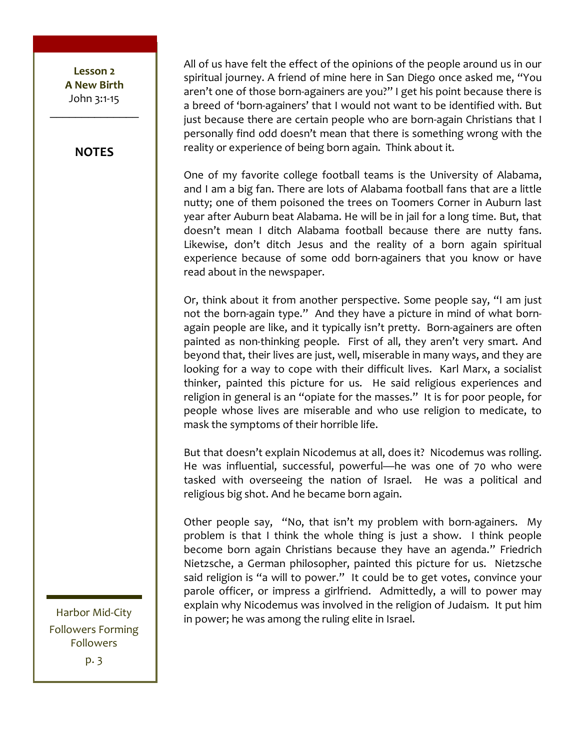Lesson<sub>2</sub> **A!New!Birth!** John 3:1-15  $\frac{1}{2}$ 

#### **NOTES**

All of us have felt the effect of the opinions of the people around us in our spiritual journey. A friend of mine here in San Diego once asked me, "You aren't one of those born-againers are you?" I get his point because there is a breed of 'born-againers' that I would not want to be identified with. But just because there are certain people who are born-again Christians that I personally find odd doesn't mean that there is something wrong with the reality or experience of being born again. Think about it.

One of my favorite college football teams is the University of Alabama, and I am a big fan. There are lots of Alabama football fans that are a little nutty; one of them poisoned the trees on Toomers Corner in Auburn last year after Auburn beat Alabama. He will be in jail for a long time. But, that doesn't mean I ditch Alabama football because there are nutty fans. Likewise, don't ditch Jesus and the reality of a born again spiritual experience because of some odd born-againers that you know or have read about in the newspaper.

Or, think about it from another perspective. Some people say, "I am just not the born-again type." And they have a picture in mind of what bornagain people are like, and it typically isn't pretty. Born-againers are often painted as non-thinking people. First of all, they aren't very smart. And beyond that, their lives are just, well, miserable in many ways, and they are looking for a way to cope with their difficult lives. Karl Marx, a socialist thinker, painted this picture for us. He said religious experiences and religion in general is an "opiate for the masses." It is for poor people, for people whose lives are miserable and who use religion to medicate, to mask the symptoms of their horrible life.

But that doesn't explain Nicodemus at all, does it? Nicodemus was rolling. He was influential, successful, powerful—he was one of 70 who were tasked with overseeing the nation of Israel. He was a political and religious big shot. And he became born again.

Other people say, "No, that isn't my problem with born-againers. My problem is that I think the whole thing is just a show. I think people become born again Christians because they have an agenda." Friedrich Nietzsche, a German philosopher, painted this picture for us. Nietzsche said religion is "a will to power." It could be to get votes, convince your parole officer, or impress a girlfriend. Admittedly, a will to power may explain why Nicodemus was involved in the religion of Judaism. It put him in power; he was among the ruling elite in Israel.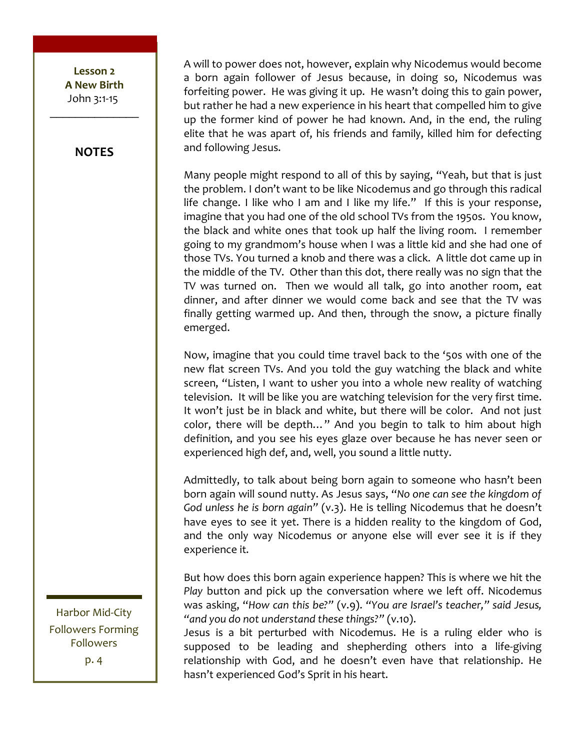Lesson<sub>2</sub> **A!New!Birth!**  $John 3:1-15$  $\frac{1}{2}$ 

#### **NOTES**

A will to power does not, however, explain why Nicodemus would become a born again follower of Jesus because, in doing so, Nicodemus was forfeiting power. He was giving it up. He wasn't doing this to gain power, but rather he had a new experience in his heart that compelled him to give up the former kind of power he had known. And, in the end, the ruling elite that he was apart of, his friends and family, killed him for defecting and following Jesus.

Many people might respond to all of this by saying, "Yeah, but that is just the problem. I don't want to be like Nicodemus and go through this radical life change. I like who I am and I like my life." If this is your response, imagine that you had one of the old school TVs from the 1950s. You know, the black and white ones that took up half the living room. I remember going to my grandmom's house when I was a little kid and she had one of those TVs. You turned a knob and there was a click. A little dot came up in the middle of the TV. Other than this dot, there really was no sign that the TV was turned on. Then we would all talk, go into another room, eat dinner, and after dinner we would come back and see that the TV was finally getting warmed up. And then, through the snow, a picture finally emerged.

Now, imagine that you could time travel back to the '50s with one of the new flat screen TVs. And you told the guy watching the black and white screen, "Listen, I want to usher you into a whole new reality of watching television. It will be like you are watching television for the very first time. It won't just be in black and white, but there will be color. And not just color, there will be depth..." And you begin to talk to him about high definition, and you see his eyes glaze over because he has never seen or experienced high def, and, well, you sound a little nutty.

Admittedly, to talk about being born again to someone who hasn't been born again will sound nutty. As Jesus says, "No one can see the kingdom of God unless he is born again" (v.3). He is telling Nicodemus that he doesn't have eyes to see it yet. There is a hidden reality to the kingdom of God, and the only way Nicodemus or anyone else will ever see it is if they experience it.

But how does this born again experience happen? This is where we hit the Play button and pick up the conversation where we left off. Nicodemus was asking, "How can this be?" (v.9). "You are Israel's teacher," said Jesus, "and you do not understand these things?" (v.10).

Jesus is a bit perturbed with Nicodemus. He is a ruling elder who is supposed to be leading and shepherding others into a life-giving relationship with God, and he doesn't even have that relationship. He hasn't experienced God's Sprit in his heart.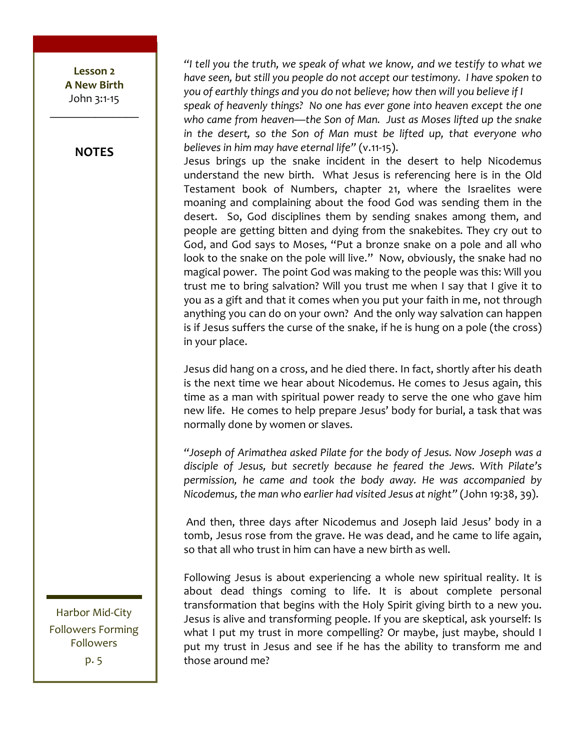Lesson<sub>2</sub> **A!New!Birth** John 3:1-15  $\frac{1}{2}$ 

**NOTES**

"I tell you the truth, we speak of what we know, and we testify to what we have seen, but still you people do not accept our testimony. I have spoken to *you of earthly things and you do not believe; how then will you believe if I* speak of heavenly things? No one has ever gone into heaven except the one who came from heaven—the Son of Man. Just as Moses lifted up the snake in the desert, so the Son of Man must be lifted up, that everyone who *believes in him may have eternal life"* (v.11-15).

Jesus brings up the snake incident in the desert to help Nicodemus understand the new birth. What Jesus is referencing here is in the Old Testament book of Numbers, chapter 21, where the Israelites were moaning and complaining about the food God was sending them in the desert. So, God disciplines them by sending snakes among them, and people are getting bitten and dying from the snakebites. They cry out to God, and God says to Moses, "Put a bronze snake on a pole and all who look to the snake on the pole will live." Now, obviously, the snake had no magical power. The point God was making to the people was this: Will you trust me to bring salvation? Will you trust me when I say that I give it to you as a gift and that it comes when you put your faith in me, not through anything you can do on your own? And the only way salvation can happen is if Jesus suffers the curse of the snake, if he is hung on a pole (the cross) in your place.

Jesus did hang on a cross, and he died there. In fact, shortly after his death is the next time we hear about Nicodemus. He comes to Jesus again, this time as a man with spiritual power ready to serve the one who gave him new life. He comes to help prepare Jesus' body for burial, a task that was normally done by women or slaves.

*"Joseph%of%Arimathea%asked%Pilate%for%the%body%of%Jesus.%Now%Joseph%was%a%* disciple of Jesus, but secretly because he feared the Jews. With Pilate's permission, he came and took the body away. He was accompanied by *Nicodemus, the man who earlier had visited Jesus at night"* (John 19:38, 39).

And then, three days after Nicodemus and Joseph laid Jesus' body in a tomb, Jesus rose from the grave. He was dead, and he came to life again, so that all who trust in him can have a new birth as well.

Following Jesus is about experiencing a whole new spiritual reality. It is about dead things coming to life. It is about complete personal transformation that begins with the Holy Spirit giving birth to a new you. Jesus is alive and transforming people. If you are skeptical, ask yourself: Is what I put my trust in more compelling? Or maybe, just maybe, should I put my trust in Jesus and see if he has the ability to transform me and those around me?